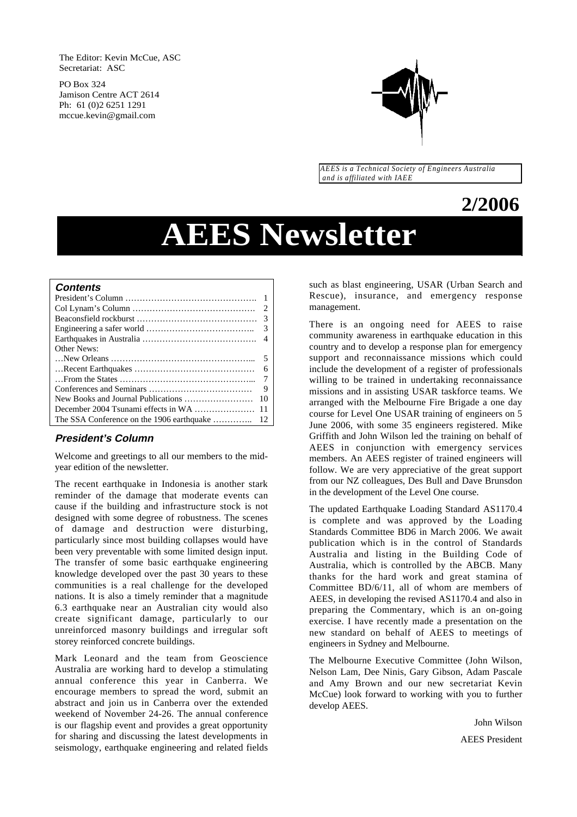The Editor: Kevin McCue, ASC Secretariat: ASC

PO Box 324 Jamison Centre ACT 2614 Ph: 61 (0)2 6251 1291 mccue.kevin@gmail.com



*AEES is a Technical Society of Engineers Australia and is affiliated with IAEE*

# **2/2006**

# **AEES Newsletter**

#### **Contents**

| -6             |
|----------------|
| $\overline{7}$ |
| 9              |
| 10             |
|                |
|                |
|                |

# **President's Column**

Welcome and greetings to all our members to the midyear edition of the newsletter.

The recent earthquake in Indonesia is another stark reminder of the damage that moderate events can cause if the building and infrastructure stock is not designed with some degree of robustness. The scenes of damage and destruction were disturbing, particularly since most building collapses would have been very preventable with some limited design input. The transfer of some basic earthquake engineering knowledge developed over the past 30 years to these communities is a real challenge for the developed nations. It is also a timely reminder that a magnitude 6.3 earthquake near an Australian city would also create significant damage, particularly to our unreinforced masonry buildings and irregular soft storey reinforced concrete buildings.

Mark Leonard and the team from Geoscience Australia are working hard to develop a stimulating annual conference this year in Canberra. We encourage members to spread the word, submit an abstract and join us in Canberra over the extended weekend of November 24-26. The annual conference is our flagship event and provides a great opportunity for sharing and discussing the latest developments in seismology, earthquake engineering and related fields

such as blast engineering, USAR (Urban Search and Rescue), insurance, and emergency response management.

There is an ongoing need for AEES to raise community awareness in earthquake education in this country and to develop a response plan for emergency support and reconnaissance missions which could include the development of a register of professionals willing to be trained in undertaking reconnaissance missions and in assisting USAR taskforce teams. We arranged with the Melbourne Fire Brigade a one day course for Level One USAR training of engineers on 5 June 2006, with some 35 engineers registered. Mike Griffith and John Wilson led the training on behalf of AEES in conjunction with emergency services members. An AEES register of trained engineers will follow. We are very appreciative of the great support from our NZ colleagues, Des Bull and Dave Brunsdon in the development of the Level One course.

The updated Earthquake Loading Standard AS1170.4 is complete and was approved by the Loading Standards Committee BD6 in March 2006. We await publication which is in the control of Standards Australia and listing in the Building Code of Australia, which is controlled by the ABCB. Many thanks for the hard work and great stamina of Committee BD/6/11, all of whom are members of AEES, in developing the revised AS1170.4 and also in preparing the Commentary, which is an on-going exercise. I have recently made a presentation on the new standard on behalf of AEES to meetings of engineers in Sydney and Melbourne.

The Melbourne Executive Committee (John Wilson, Nelson Lam, Dee Ninis, Gary Gibson, Adam Pascale and Amy Brown and our new secretariat Kevin McCue) look forward to working with you to further develop AEES.

John Wilson

AEES President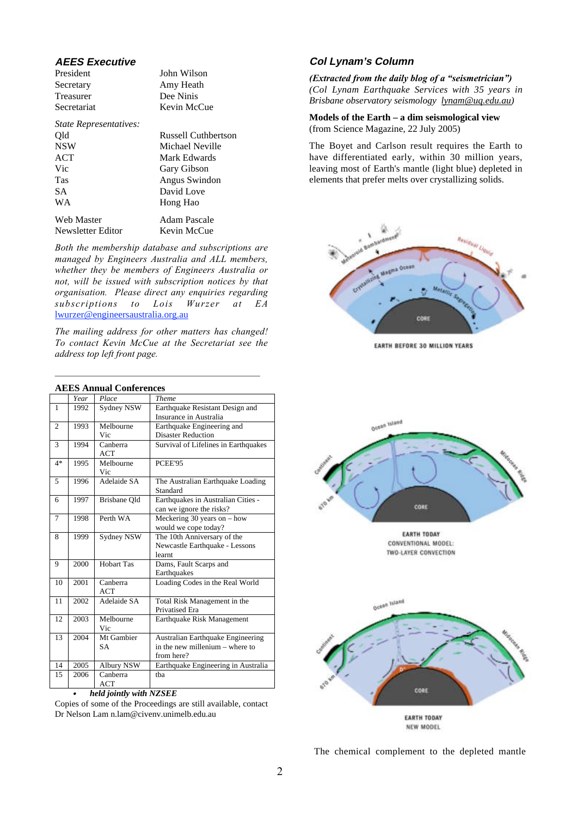# **AEES Executive**

| President   | John Wilson |
|-------------|-------------|
| Secretary   | Amy Heath   |
| Treasurer   | Dee Ninis   |
| Secretariat | Kevin McCu  |
|             |             |

| State Representatives: |                     |
|------------------------|---------------------|
| Qld                    | Russell Cuthbertson |
| <b>NSW</b>             | Michael Neville     |
| ACT                    | Mark Edwards        |
| Vic                    | Gary Gibson         |
| <b>Tas</b>             | Angus Swindon       |
| SA.                    | David Love          |
| <b>WA</b>              | Hong Hao            |
| <b>Web Master</b>      | Adam Pascale        |
| Newsletter Editor      | Kevin McCue         |

McCue

*Both the membership database and subscriptions are managed by Engineers Australia and ALL members, whether they be members of Engineers Australia or not, will be issued with subscription notices by that organisation. Please direct any enquiries regarding subscriptions to Lois Wurzer at EA* lwurzer@engineersaustralia.org.au

*The mailing address for other matters has changed! To contact Kevin McCue at the Secretariat see the address top left front page.*

 $\mathcal{L}^{\mathcal{L}}$ 

|                |      | ALLS Allituat Colliei ences |                                      |
|----------------|------|-----------------------------|--------------------------------------|
|                | Year | Place                       | Theme                                |
| $\mathbf{1}$   | 1992 | Sydney NSW                  | Earthquake Resistant Design and      |
|                |      |                             | Insurance in Australia               |
| $\overline{2}$ | 1993 | Melbourne                   | Earthquake Engineering and           |
|                |      | Vic                         | <b>Disaster Reduction</b>            |
| 3              | 1994 | Canberra                    | Survival of Lifelines in Earthquakes |
|                |      | ACT                         |                                      |
| $4*$           | 1995 | Melbourne                   | PCEE'95                              |
|                |      | Vic                         |                                      |
| 5              | 1996 | Adelaide SA                 | The Australian Earthquake Loading    |
|                |      |                             | Standard                             |
| 6              | 1997 | Brisbane Old                | Earthquakes in Australian Cities -   |
|                |      |                             | can we ignore the risks?             |
| 7              | 1998 | Perth WA                    | Meckering 30 years on $-$ how        |
|                |      |                             | would we cope today?                 |
| 8              | 1999 | Sydney NSW                  | The 10th Anniversary of the          |
|                |      |                             | Newcastle Earthquake - Lessons       |
|                |      |                             | learnt                               |
| 9              | 2000 | <b>Hobart Tas</b>           | Dams, Fault Scarps and               |
|                |      |                             | Earthquakes                          |
| 10             | 2001 | Canberra                    | Loading Codes in the Real World      |
|                |      | <b>ACT</b>                  |                                      |
| 11             | 2002 | Adelaide SA                 | Total Risk Management in the         |
|                |      |                             | <b>Privatised Era</b>                |
| 12             | 2003 | Melbourne                   | Earthquake Risk Management           |
|                |      | Vic                         |                                      |
| 13             | 2004 | Mt Gambier                  | Australian Earthquake Engineering    |
|                |      | <b>SA</b>                   | in the new millenium - where to      |
|                |      |                             | from here?                           |
| 14             | 2005 | Albury NSW                  | Earthquake Engineering in Australia  |
| 15             | 2006 | Canberra                    | tha                                  |
|                |      | ACT                         |                                      |

#### **AEES Annual Conferences**

*held jointly with NZSEE*

•

Copies of some of the Proceedings are still available, contact Dr Nelson Lam n.lam@civenv.unimelb.edu.au

# **Col Lynam's Column**

*(Extracted from the daily blog of a "seismetrician") (Col Lynam Earthquake Services with 35 years in Brisbane observatory seismology lynam@uq.edu.au)*

**Models of the Earth – a dim seismological view** (from Science Magazine, 22 July 2005)

The Boyet and Carlson result requires the Earth to have differentiated early, within 30 million years, leaving most of Earth's mantle (light blue) depleted in elements that prefer melts over crystallizing solids.



**EARTH BEFORE 30 MILLION YEARS** 



**EARTH TODAY** CONVENTIONAL MODEL: TWO-LAYER CONVECTION



The chemical complement to the depleted mantle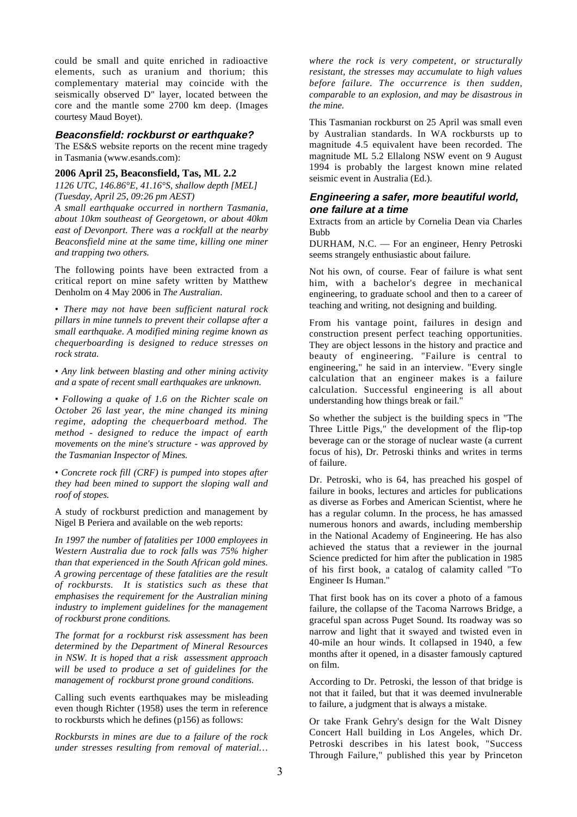could be small and quite enriched in radioactive elements, such as uranium and thorium; this complementary material may coincide with the seismically observed D" layer, located between the core and the mantle some 2700 km deep. (Images courtesy Maud Boyet).

#### **Beaconsfield: rockburst or earthquake?**

The ES&S website reports on the recent mine tragedy in Tasmania (www.esands.com):

#### **2006 April 25, Beaconsfield, Tas, ML 2.2**

*1126 UTC, 146.86°E, 41.16°S, shallow depth [MEL] (Tuesday, April 25, 09:26 pm AEST)*

*A small earthquake occurred in northern Tasmania, about 10km southeast of Georgetown, or about 40km east of Devonport. There was a rockfall at the nearby Beaconsfield mine at the same time, killing one miner and trapping two others.*

The following points have been extracted from a critical report on mine safety written by Matthew Denholm on 4 May 2006 in *The Australian*.

*• There may not have been sufficient natural rock pillars in mine tunnels to prevent their collapse after a small earthquake. A modified mining regime known as chequerboarding is designed to reduce stresses on rock strata.*

*• Any link between blasting and other mining activity and a spate of recent small earthquakes are unknown.*

*• Following a quake of 1.6 on the Richter scale on October 26 last year, the mine changed its mining regime, adopting the chequerboard method. The method - designed to reduce the impact of earth movements on the mine's structure - was approved by the Tasmanian Inspector of Mines.*

*• Concrete rock fill (CRF) is pumped into stopes after they had been mined to support the sloping wall and roof of stopes.*

A study of rockburst prediction and management by Nigel B Periera and available on the web reports:

*In 1997 the number of fatalities per 1000 employees in Western Australia due to rock falls was 75% higher than that experienced in the South African gold mines. A growing percentage of these fatalities are the result of rockbursts. It is statistics such as these that emphasises the requirement for the Australian mining industry to implement guidelines for the management of rockburst prone conditions.*

*The format for a rockburst risk assessment has been determined by the Department of Mineral Resources in NSW. It is hoped that a risk assessment approach will be used to produce a set of guidelines for the management of rockburst prone ground conditions.*

Calling such events earthquakes may be misleading even though Richter (1958) uses the term in reference to rockbursts which he defines (p156) as follows:

*Rockbursts in mines are due to a failure of the rock under stresses resulting from removal of material…*

*where the rock is very competent, or structurally resistant, the stresses may accumulate to high values before failure. The occurrence is then sudden, comparable to an explosion, and may be disastrous in the mine.*

This Tasmanian rockburst on 25 April was small even by Australian standards. In WA rockbursts up to magnitude 4.5 equivalent have been recorded. The magnitude ML 5.2 Ellalong NSW event on 9 August 1994 is probably the largest known mine related seismic event in Australia (Ed.).

# **Engineering a safer, more beautiful world, one failure at a time**

Extracts from an article by Cornelia Dean via Charles Bubb

DURHAM, N.C. — For an engineer, Henry Petroski seems strangely enthusiastic about failure.

Not his own, of course. Fear of failure is what sent him, with a bachelor's degree in mechanical engineering, to graduate school and then to a career of teaching and writing, not designing and building.

From his vantage point, failures in design and construction present perfect teaching opportunities. They are object lessons in the history and practice and beauty of engineering. "Failure is central to engineering," he said in an interview. "Every single calculation that an engineer makes is a failure calculation. Successful engineering is all about understanding how things break or fail."

So whether the subject is the building specs in "The Three Little Pigs," the development of the flip-top beverage can or the storage of nuclear waste (a current focus of his), Dr. Petroski thinks and writes in terms of failure.

Dr. Petroski, who is 64, has preached his gospel of failure in books, lectures and articles for publications as diverse as Forbes and American Scientist, where he has a regular column. In the process, he has amassed numerous honors and awards, including membership in the National Academy of Engineering. He has also achieved the status that a reviewer in the journal Science predicted for him after the publication in 1985 of his first book, a catalog of calamity called "To Engineer Is Human."

That first book has on its cover a photo of a famous failure, the collapse of the Tacoma Narrows Bridge, a graceful span across Puget Sound. Its roadway was so narrow and light that it swayed and twisted even in 40-mile an hour winds. It collapsed in 1940, a few months after it opened, in a disaster famously captured on film.

According to Dr. Petroski, the lesson of that bridge is not that it failed, but that it was deemed invulnerable to failure, a judgment that is always a mistake.

Or take Frank Gehry's design for the Walt Disney Concert Hall building in Los Angeles, which Dr. Petroski describes in his latest book, "Success Through Failure," published this year by Princeton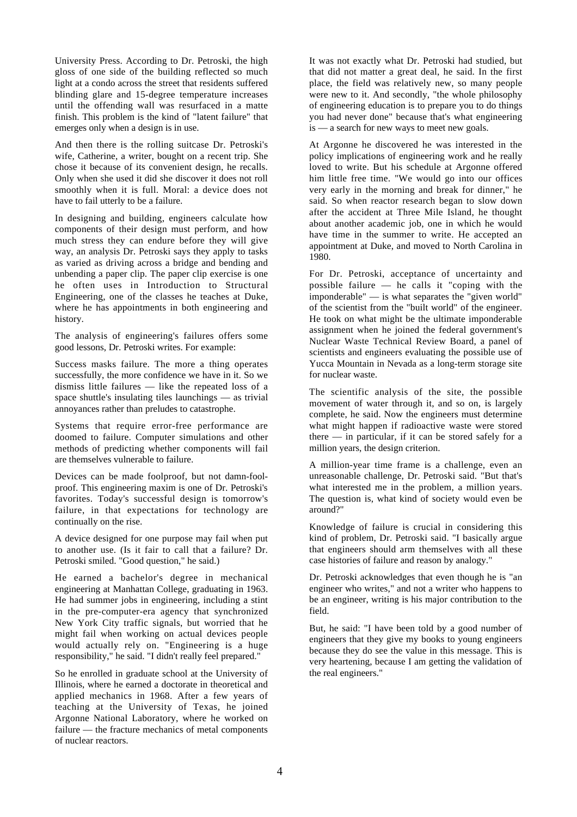University Press. According to Dr. Petroski, the high gloss of one side of the building reflected so much light at a condo across the street that residents suffered blinding glare and 15-degree temperature increases until the offending wall was resurfaced in a matte finish. This problem is the kind of "latent failure" that emerges only when a design is in use.

And then there is the rolling suitcase Dr. Petroski's wife, Catherine, a writer, bought on a recent trip. She chose it because of its convenient design, he recalls. Only when she used it did she discover it does not roll smoothly when it is full. Moral: a device does not have to fail utterly to be a failure.

In designing and building, engineers calculate how components of their design must perform, and how much stress they can endure before they will give way, an analysis Dr. Petroski says they apply to tasks as varied as driving across a bridge and bending and unbending a paper clip. The paper clip exercise is one he often uses in Introduction to Structural Engineering, one of the classes he teaches at Duke, where he has appointments in both engineering and history.

The analysis of engineering's failures offers some good lessons, Dr. Petroski writes. For example:

Success masks failure. The more a thing operates successfully, the more confidence we have in it. So we dismiss little failures — like the repeated loss of a space shuttle's insulating tiles launchings — as trivial annoyances rather than preludes to catastrophe.

Systems that require error-free performance are doomed to failure. Computer simulations and other methods of predicting whether components will fail are themselves vulnerable to failure.

Devices can be made foolproof, but not damn-foolproof. This engineering maxim is one of Dr. Petroski's favorites. Today's successful design is tomorrow's failure, in that expectations for technology are continually on the rise.

A device designed for one purpose may fail when put to another use. (Is it fair to call that a failure? Dr. Petroski smiled. "Good question," he said.)

He earned a bachelor's degree in mechanical engineering at Manhattan College, graduating in 1963. He had summer jobs in engineering, including a stint in the pre-computer-era agency that synchronized New York City traffic signals, but worried that he might fail when working on actual devices people would actually rely on. "Engineering is a huge responsibility," he said. "I didn't really feel prepared."

So he enrolled in graduate school at the University of Illinois, where he earned a doctorate in theoretical and applied mechanics in 1968. After a few years of teaching at the University of Texas, he joined Argonne National Laboratory, where he worked on failure — the fracture mechanics of metal components of nuclear reactors.

It was not exactly what Dr. Petroski had studied, but that did not matter a great deal, he said. In the first place, the field was relatively new, so many people were new to it. And secondly, "the whole philosophy of engineering education is to prepare you to do things you had never done" because that's what engineering is — a search for new ways to meet new goals.

At Argonne he discovered he was interested in the policy implications of engineering work and he really loved to write. But his schedule at Argonne offered him little free time. "We would go into our offices very early in the morning and break for dinner," he said. So when reactor research began to slow down after the accident at Three Mile Island, he thought about another academic job, one in which he would have time in the summer to write. He accepted an appointment at Duke, and moved to North Carolina in 1980.

For Dr. Petroski, acceptance of uncertainty and possible failure — he calls it "coping with the imponderable" — is what separates the "given world" of the scientist from the "built world" of the engineer. He took on what might be the ultimate imponderable assignment when he joined the federal government's Nuclear Waste Technical Review Board, a panel of scientists and engineers evaluating the possible use of Yucca Mountain in Nevada as a long-term storage site for nuclear waste.

The scientific analysis of the site, the possible movement of water through it, and so on, is largely complete, he said. Now the engineers must determine what might happen if radioactive waste were stored there — in particular, if it can be stored safely for a million years, the design criterion.

A million-year time frame is a challenge, even an unreasonable challenge, Dr. Petroski said. "But that's what interested me in the problem, a million years. The question is, what kind of society would even be around?"

Knowledge of failure is crucial in considering this kind of problem, Dr. Petroski said. "I basically argue that engineers should arm themselves with all these case histories of failure and reason by analogy."

Dr. Petroski acknowledges that even though he is "an engineer who writes," and not a writer who happens to be an engineer, writing is his major contribution to the field.

But, he said: "I have been told by a good number of engineers that they give my books to young engineers because they do see the value in this message. This is very heartening, because I am getting the validation of the real engineers."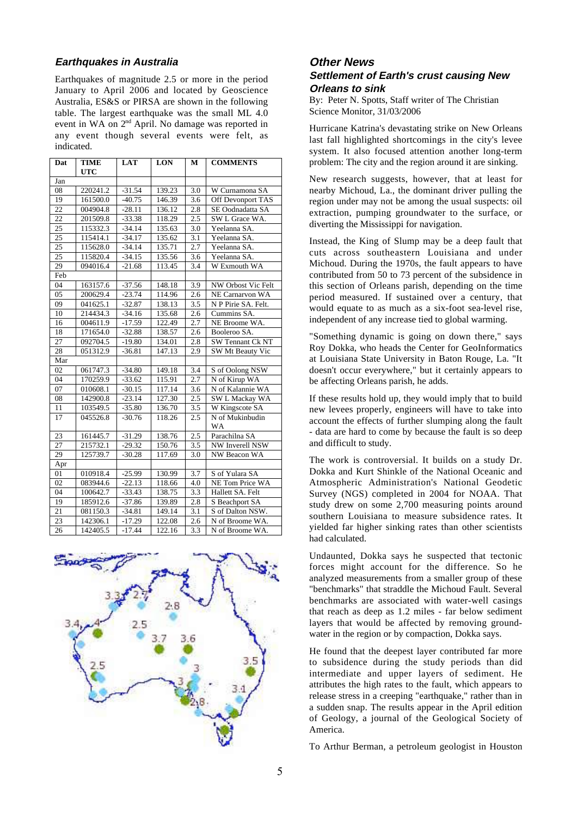# **Earthquakes in Australia**

Earthquakes of magnitude 2.5 or more in the period January to April 2006 and located by Geoscience Australia, ES&S or PIRSA are shown in the following table. The largest earthquake was the small ML 4.0 event in WA on 2nd April. No damage was reported in any event though several events were felt, as indicated.

| Dat             | <b>TIME</b> | <b>LAT</b> | <b>LON</b> | м                | <b>COMMENTS</b>     |
|-----------------|-------------|------------|------------|------------------|---------------------|
|                 | <b>UTC</b>  |            |            |                  |                     |
| Jan             |             |            |            |                  |                     |
| 08              | 220241.2    | $-31.54$   | 139.23     | 3.0              | W Curnamona SA      |
| 19              | 161500.0    | $-40.75$   | 146.39     | 3.6              | Off Devonport TAS   |
| 22              | 004904.8    | $-28.11$   | 136.12     | 2.8              | SE Oodnadatta SA    |
| 22              | 201509.8    | $-33.38$   | 118.29     | 2.5              | SW L Grace WA.      |
| 25              | 115332.3    | $-34.14$   | 135.63     | 3.0              | Yeelanna SA.        |
| 25              | 115414.1    | $-34.17$   | 135.62     | 3.1              | Yeelanna SA.        |
| $\overline{25}$ | 115628.0    | $-34.14$   | 135.71     | 2.7              | Yeelanna SA.        |
| $\overline{25}$ | 115820.4    | $-34.15$   | 135.56     | 3.6              | Yeelanna SA.        |
| 29              | 094016.4    | $-21.68$   | 113.45     | 3.4              | W Exmouth WA        |
| Feb             |             |            |            |                  |                     |
| 04              | 163157.6    | $-37.56$   | 148.18     | 3.9              | NW Orbost Vic Felt  |
| 05              | 200629.4    | $-23.74$   | 114.96     | 2.6              | NE Carnarvon WA     |
| 09              | 041625.1    | $-32.87$   | 138.13     | 3.5              | N P Pirie SA. Felt. |
| 10              | 214434.3    | $-34.16$   | 135.68     | 2.6              | Cummins SA.         |
| 16              | 004611.9    | $-17.59$   | 122.49     | 2.7              | NE Broome WA.       |
| 18              | 171654.0    | $-32.88$   | 138.57     | 2.6              | Booleroo SA.        |
| 27              | 092704.5    | $-19.80$   | 134.01     | 2.8              | SW Tennant Ck NT    |
| 28              | 051312.9    | $-36.81$   | 147.13     | 2.9              | SW Mt Beauty Vic    |
| Mar             |             |            |            |                  |                     |
| 02              | 061747.3    | $-34.80$   | 149.18     | 3.4              | S of Oolong NSW     |
| 04              | 170259.9    | $-33.62$   | 115.91     | 2.7              | N of Kirup WA       |
| 07              | 010608.1    | $-30.15$   | 117.14     | 3.6              | N of Kalannie WA    |
| 08              | 142900.8    | $-23.14$   | 127.30     | 2.5              | SW L Mackay WA      |
| 11              | 103549.5    | $-35.80$   | 136.70     | $\overline{3.5}$ | W Kingscote SA      |
| 17              | 045526.8    | $-30.76$   | 118.26     | 2.5              | N of Mukinbudin     |
|                 |             |            |            |                  | WA                  |
| 23              | 161445.7    | $-31.29$   | 138.76     | 2.5              | Parachilna SA       |
| 27              | 215732.1    | $-29.32$   | 150.76     | 3.5              | NW Inverell NSW     |
| 29              | 125739.7    | $-30.28$   | 117.69     | 3.0              | NW Beacon WA        |
| Apr             |             |            |            |                  |                     |
| 01              | 010918.4    | $-25.99$   | 130.99     | 3.7              | S of Yulara SA      |
| 02              | 083944.6    | $-22.13$   | 118.66     | 4.0              | NE Tom Price WA     |
| 04              | 100642.7    | $-33.43$   | 138.75     | 3.3              | Hallett SA. Felt    |
| 19              | 185912.6    | $-37.86$   | 139.89     | 2.8              | S Beachport SA      |
| 21              | 081150.3    | $-34.81$   | 149.14     | 3.1              | S of Dalton NSW.    |
| 23              | 142306.1    | $-17.29$   | 122.08     | 2.6              | N of Broome WA.     |
| 26              | 142405.5    | $-17.44$   | 122.16     | 3.3              | N of Broome WA.     |



# **Other News Settlement of Earth's crust causing New Orleans to sink**

By: Peter N. Spotts, Staff writer of The Christian Science Monitor, 31/03/2006

Hurricane Katrina's devastating strike on New Orleans last fall highlighted shortcomings in the city's levee system. It also focused attention another long-term problem: The city and the region around it are sinking.

New research suggests, however, that at least for nearby Michoud, La., the dominant driver pulling the region under may not be among the usual suspects: oil extraction, pumping groundwater to the surface, or diverting the Mississippi for navigation.

Instead, the King of Slump may be a deep fault that cuts across southeastern Louisiana and under Michoud. During the 1970s, the fault appears to have contributed from 50 to 73 percent of the subsidence in this section of Orleans parish, depending on the time period measured. If sustained over a century, that would equate to as much as a six-foot sea-level rise, independent of any increase tied to global warming.

"Something dynamic is going on down there," says Roy Dokka, who heads the Center for GeoInformatics at Louisiana State University in Baton Rouge, La. "It doesn't occur everywhere," but it certainly appears to be affecting Orleans parish, he adds.

If these results hold up, they would imply that to build new levees properly, engineers will have to take into account the effects of further slumping along the fault - data are hard to come by because the fault is so deep and difficult to study.

The work is controversial. It builds on a study Dr. Dokka and Kurt Shinkle of the National Oceanic and Atmospheric Administration's National Geodetic Survey (NGS) completed in 2004 for NOAA. That study drew on some 2,700 measuring points around southern Louisiana to measure subsidence rates. It yielded far higher sinking rates than other scientists had calculated.

Undaunted, Dokka says he suspected that tectonic forces might account for the difference. So he analyzed measurements from a smaller group of these "benchmarks" that straddle the Michoud Fault. Several benchmarks are associated with water-well casings that reach as deep as 1.2 miles - far below sediment layers that would be affected by removing groundwater in the region or by compaction, Dokka says.

He found that the deepest layer contributed far more to subsidence during the study periods than did intermediate and upper layers of sediment. He attributes the high rates to the fault, which appears to release stress in a creeping "earthquake," rather than in a sudden snap. The results appear in the April edition of Geology, a journal of the Geological Society of America.

To Arthur Berman, a petroleum geologist in Houston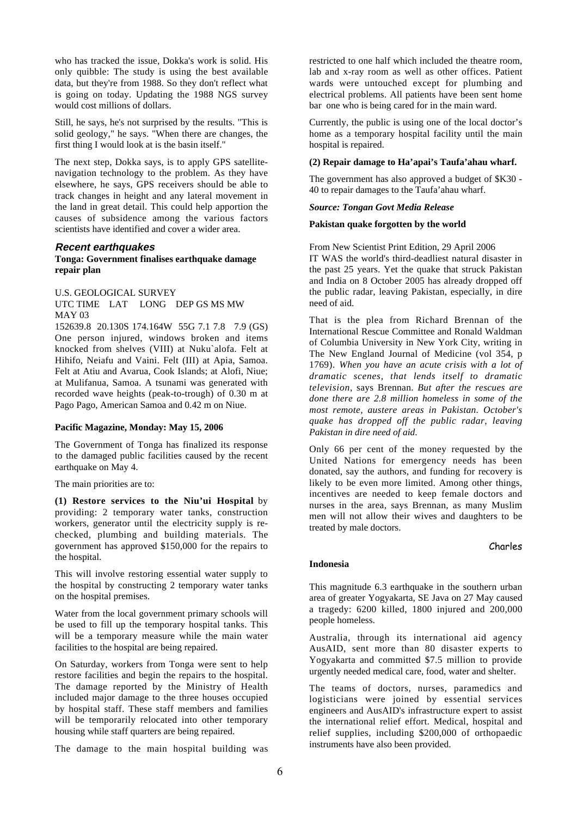who has tracked the issue, Dokka's work is solid. His only quibble: The study is using the best available data, but they're from 1988. So they don't reflect what is going on today. Updating the 1988 NGS survey would cost millions of dollars.

Still, he says, he's not surprised by the results. "This is solid geology," he says. "When there are changes, the first thing I would look at is the basin itself."

The next step, Dokka says, is to apply GPS satellitenavigation technology to the problem. As they have elsewhere, he says, GPS receivers should be able to track changes in height and any lateral movement in the land in great detail. This could help apportion the causes of subsidence among the various factors scientists have identified and cover a wider area.

#### **Recent earthquakes**

#### **Tonga: Government finalises earthquake damage repair plan**

U.S. GEOLOGICAL SURVEY

UTC TIME LAT LONG DEP GS MS MW MAY 03

152639.8 20.130S 174.164W 55G 7.1 7.8 7.9 (GS) One person injured, windows broken and items knocked from shelves (VIII) at Nuku`alofa. Felt at Hihifo, Neiafu and Vaini. Felt (III) at Apia, Samoa. Felt at Atiu and Avarua, Cook Islands; at Alofi, Niue; at Mulifanua, Samoa. A tsunami was generated with recorded wave heights (peak-to-trough) of 0.30 m at Pago Pago, American Samoa and 0.42 m on Niue.

#### **Pacific Magazine, Monday: May 15, 2006**

The Government of Tonga has finalized its response to the damaged public facilities caused by the recent earthquake on May 4.

The main priorities are to:

**(1) Restore services to the Niu'ui Hospital** by providing: 2 temporary water tanks, construction workers, generator until the electricity supply is rechecked, plumbing and building materials. The government has approved \$150,000 for the repairs to the hospital.

This will involve restoring essential water supply to the hospital by constructing 2 temporary water tanks on the hospital premises.

Water from the local government primary schools will be used to fill up the temporary hospital tanks. This will be a temporary measure while the main water facilities to the hospital are being repaired.

On Saturday, workers from Tonga were sent to help restore facilities and begin the repairs to the hospital. The damage reported by the Ministry of Health included major damage to the three houses occupied by hospital staff. These staff members and families will be temporarily relocated into other temporary housing while staff quarters are being repaired.

The damage to the main hospital building was

restricted to one half which included the theatre room, lab and x-ray room as well as other offices. Patient wards were untouched except for plumbing and electrical problems. All patients have been sent home bar one who is being cared for in the main ward.

Currently, the public is using one of the local doctor's home as a temporary hospital facility until the main hospital is repaired.

#### **(2) Repair damage to Ha'apai's Taufa'ahau wharf.**

The government has also approved a budget of \$K30 - 40 to repair damages to the Taufa'ahau wharf.

## *Source: Tongan Govt Media Release*

#### **Pakistan quake forgotten by the world**

From New Scientist Print Edition, 29 April 2006 IT WAS the world's third-deadliest natural disaster in the past 25 years. Yet the quake that struck Pakistan and India on 8 October 2005 has already dropped off the public radar, leaving Pakistan, especially, in dire need of aid.

That is the plea from Richard Brennan of the International Rescue Committee and Ronald Waldman of Columbia University in New York City, writing in The New England Journal of Medicine (vol 354, p 1769). *When you have an acute crisis with a lot of dramatic scenes, that lends itself to dramatic television*, says Brennan. *But after the rescues are done there are 2.8 million homeless in some of the most remote, austere areas in Pakistan. October's quake has dropped off the public radar, leaving Pakistan in dire need of aid*.

Only 66 per cent of the money requested by the United Nations for emergency needs has been donated, say the authors, and funding for recovery is likely to be even more limited. Among other things, incentives are needed to keep female doctors and nurses in the area, says Brennan, as many Muslim men will not allow their wives and daughters to be treated by male doctors.

#### Charles

#### **Indonesia**

This magnitude 6.3 earthquake in the southern urban area of greater Yogyakarta, SE Java on 27 May caused a tragedy: 6200 killed, 1800 injured and 200,000 people homeless.

Australia, through its international aid agency AusAID, sent more than 80 disaster experts to Yogyakarta and committed \$7.5 million to provide urgently needed medical care, food, water and shelter.

The teams of doctors, nurses, paramedics and logisticians were joined by essential services engineers and AusAID's infrastructure expert to assist the international relief effort. Medical, hospital and relief supplies, including \$200,000 of orthopaedic instruments have also been provided.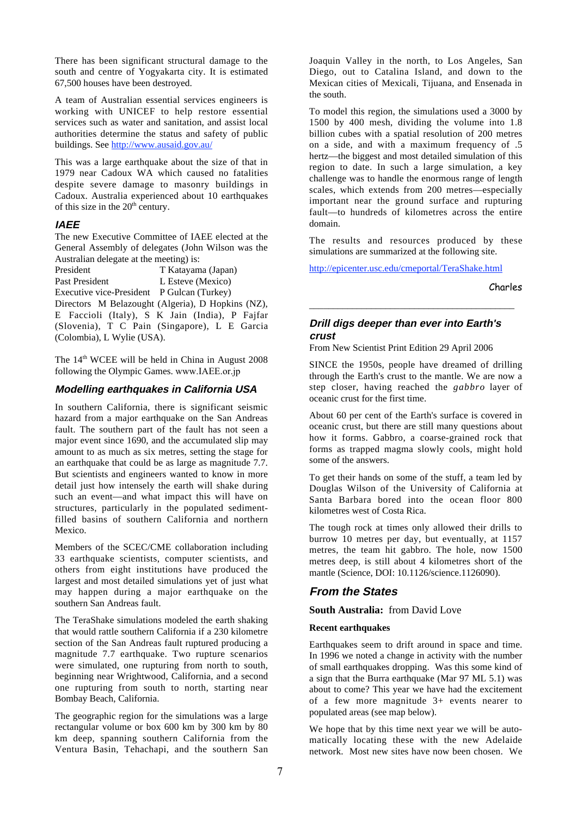There has been significant structural damage to the south and centre of Yogyakarta city. It is estimated 67,500 houses have been destroyed.

A team of Australian essential services engineers is working with UNICEF to help restore essential services such as water and sanitation, and assist local authorities determine the status and safety of public buildings. See http://www.ausaid.gov.au/

This was a large earthquake about the size of that in 1979 near Cadoux WA which caused no fatalities despite severe damage to masonry buildings in Cadoux. Australia experienced about 10 earthquakes of this size in the  $20<sup>th</sup>$  century.

# **IAEE**

The new Executive Committee of IAEE elected at the General Assembly of delegates (John Wilson was the Australian delegate at the meeting) is:

| President                                  | T Katayama (Japan)                                |
|--------------------------------------------|---------------------------------------------------|
| Past President                             | L Esteve (Mexico)                                 |
| Executive vice-President P Gulcan (Turkey) |                                                   |
|                                            | Directors M Belazought (Algeria), D Hopkins (NZ), |
|                                            | E Faccioli (Italy), S K Jain (India), P Fajfar    |
|                                            | (Slovenia), T C Pain (Singapore), L E Garcia      |
| (Colombia), L Wylie (USA).                 |                                                   |

The 14<sup>th</sup> WCEE will be held in China in August 2008 following the Olympic Games. www.IAEE.or.jp

#### **Modelling earthquakes in California USA**

In southern California, there is significant seismic hazard from a major earthquake on the San Andreas fault. The southern part of the fault has not seen a major event since 1690, and the accumulated slip may amount to as much as six metres, setting the stage for an earthquake that could be as large as magnitude 7.7. But scientists and engineers wanted to know in more detail just how intensely the earth will shake during such an event—and what impact this will have on structures, particularly in the populated sedimentfilled basins of southern California and northern Mexico.

Members of the SCEC/CME collaboration including 33 earthquake scientists, computer scientists, and others from eight institutions have produced the largest and most detailed simulations yet of just what may happen during a major earthquake on the southern San Andreas fault.

The TeraShake simulations modeled the earth shaking that would rattle southern California if a 230 kilometre section of the San Andreas fault ruptured producing a magnitude 7.7 earthquake. Two rupture scenarios were simulated, one rupturing from north to south, beginning near Wrightwood, California, and a second one rupturing from south to north, starting near Bombay Beach, California.

The geographic region for the simulations was a large rectangular volume or box 600 km by 300 km by 80 km deep, spanning southern California from the Ventura Basin, Tehachapi, and the southern San Joaquin Valley in the north, to Los Angeles, San Diego, out to Catalina Island, and down to the Mexican cities of Mexicali, Tijuana, and Ensenada in the south.

To model this region, the simulations used a 3000 by 1500 by 400 mesh, dividing the volume into 1.8 billion cubes with a spatial resolution of 200 metres on a side, and with a maximum frequency of .5 hertz—the biggest and most detailed simulation of this region to date. In such a large simulation, a key challenge was to handle the enormous range of length scales, which extends from 200 metres—especially important near the ground surface and rupturing fault—to hundreds of kilometres across the entire domain.

The results and resources produced by these simulations are summarized at the following site.

http://epicenter.usc.edu/cmeportal/TeraShake.html

Charles

#### **Drill digs deeper than ever into Earth's crust**

\_\_\_\_\_\_\_\_\_\_\_\_\_\_\_\_\_\_\_\_\_\_\_\_\_\_\_\_\_\_\_\_\_\_\_\_\_\_\_\_\_\_\_

From New Scientist Print Edition 29 April 2006

SINCE the 1950s, people have dreamed of drilling through the Earth's crust to the mantle. We are now a step closer, having reached the *gabbro* layer of oceanic crust for the first time.

About 60 per cent of the Earth's surface is covered in oceanic crust, but there are still many questions about how it forms. Gabbro, a coarse-grained rock that forms as trapped magma slowly cools, might hold some of the answers.

To get their hands on some of the stuff, a team led by Douglas Wilson of the University of California at Santa Barbara bored into the ocean floor 800 kilometres west of Costa Rica.

The tough rock at times only allowed their drills to burrow 10 metres per day, but eventually, at 1157 metres, the team hit gabbro. The hole, now 1500 metres deep, is still about 4 kilometres short of the mantle (Science, DOI: 10.1126/science.1126090).

# **From the States**

**South Australia:** from David Love

#### **Recent earthquakes**

Earthquakes seem to drift around in space and time. In 1996 we noted a change in activity with the number of small earthquakes dropping. Was this some kind of a sign that the Burra earthquake (Mar 97 ML 5.1) was about to come? This year we have had the excitement of a few more magnitude 3+ events nearer to populated areas (see map below).

We hope that by this time next year we will be automatically locating these with the new Adelaide network. Most new sites have now been chosen. We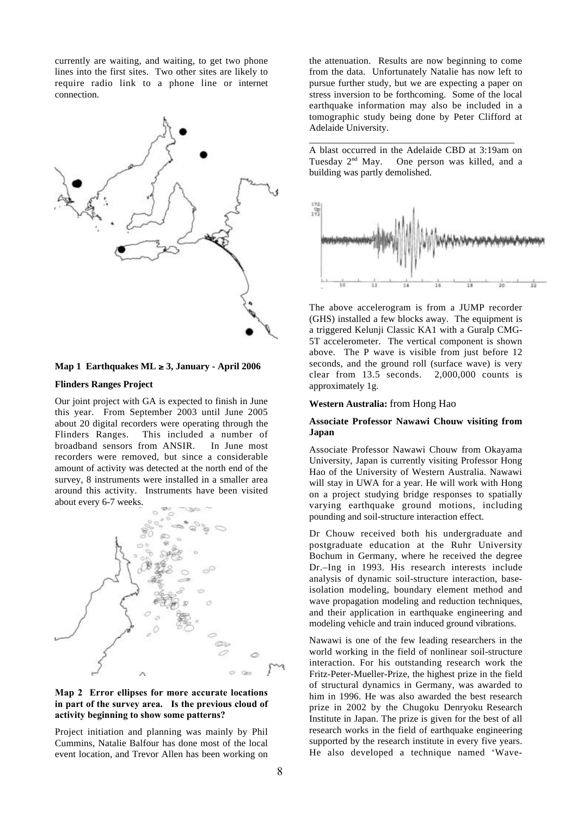currently are waiting, and waiting, to get two phone lines into the first sites. Two other sites are likely to require radio link to a phone line or internet connection.



#### **Map 1 Earthquakes ML** ≥ **3, January - April 2006**

#### **Flinders Ranges Project**

Our joint project with GA is expected to finish in June this year. From September 2003 until June 2005 about 20 digital recorders were operating through the Flinders Ranges. This included a number of broadband sensors from ANSIR. In June most recorders were removed, but since a considerable amount of activity was detected at the north end of the survey, 8 instruments were installed in a smaller area around this activity. Instruments have been visited about every 6-7 weeks.



#### Map 2 Error ellipses for more accurate locations in part of the survey area. Is the previous cloud of activity beginning to show some patterns?

Project initiation and planning was mainly by Phil Cummins, Natalie Balfour has done most of the local event location, and Trevor Allen has been working on

the attenuation. Results are now beginning to come from the data. Unfortunately Natalie has now left to pursue further study, but we are expecting a paper on stress inversion to be forthcoming. Some of the local earthquake information may also be included in a tomographic study being done by Peter Clifford at Adelaide University.

A blast occurred in the Adelaide CBD at 3:19am on Tuesday 2nd May. One person was killed, and a building was partly demolished.

\_\_\_\_\_\_\_\_\_\_\_\_\_\_\_\_\_\_\_\_\_\_\_\_\_\_\_\_\_\_\_\_\_\_\_\_\_\_\_\_\_\_\_



The above accelerogram is from a JUMP recorder (GHS) installed a few blocks away. The equipment is a triggered Kelunji Classic KA1 with a Guralp CMG-5T accelerometer. The vertical component is shown above. The P wave is visible from just before 12 seconds, and the ground roll (surface wave) is very clear from 13.5 seconds. 2,000,000 counts is approximately 1g.

#### **Western Australia:** from Hong Hao

#### **Associate Professor Nawawi Chouw visiting from Japan**

Associate Professor Nawawi Chouw from Okayama University, Japan is currently visiting Professor Hong Hao of the University of Western Australia. Nawawi will stay in UWA for a year. He will work with Hong on a project studying bridge responses to spatially varying earthquake ground motions, including pounding and soil-structure interaction effect.

Dr Chouw received both his undergraduate and postgraduate education at the Ruhr University Bochum in Germany, where he received the degree Dr.–Ing in 1993. His research interests include analysis of dynamic soil-structure interaction, baseisolation modeling, boundary element method and wave propagation modeling and reduction techniques, and their application in earthquake engineering and modeling vehicle and train induced ground vibrations.

Nawawi is one of the few leading researchers in the world working in the field of nonlinear soil-structure interaction. For his outstanding research work the Fritz-Peter-Mueller-Prize, the highest prize in the field of structural dynamics in Germany, was awarded to him in 1996. He was also awarded the best research prize in 2002 by the Chugoku Denryoku Research Institute in Japan. The prize is given for the best of all research works in the field of earthquake engineering supported by the research institute in every five years. He also developed a technique named 'Wave-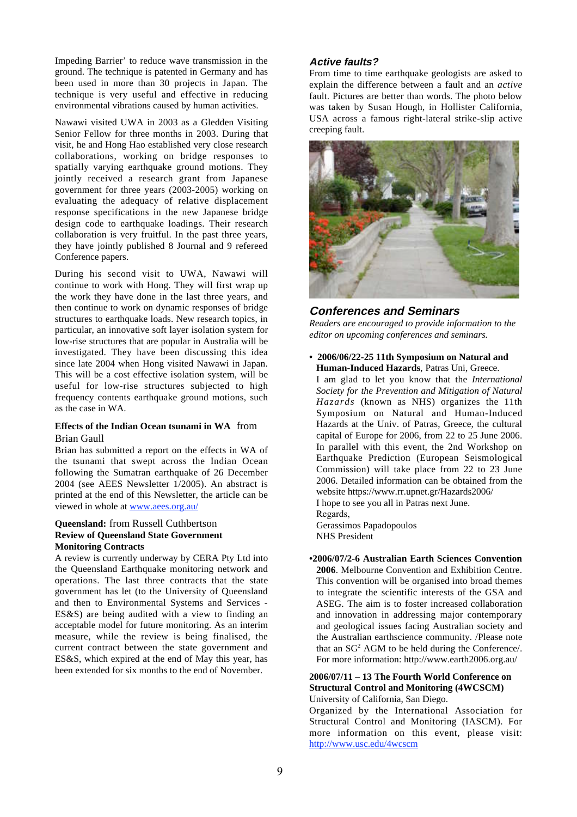Impeding Barrier' to reduce wave transmission in the ground. The technique is patented in Germany and has been used in more than 30 projects in Japan. The technique is very useful and effective in reducing environmental vibrations caused by human activities.

Nawawi visited UWA in 2003 as a Gledden Visiting Senior Fellow for three months in 2003. During that visit, he and Hong Hao established very close research collaborations, working on bridge responses to spatially varying earthquake ground motions. They jointly received a research grant from Japanese government for three years (2003-2005) working on evaluating the adequacy of relative displacement response specifications in the new Japanese bridge design code to earthquake loadings. Their research collaboration is very fruitful. In the past three years, they have jointly published 8 Journal and 9 refereed Conference papers.

During his second visit to UWA, Nawawi will continue to work with Hong. They will first wrap up the work they have done in the last three years, and then continue to work on dynamic responses of bridge structures to earthquake loads. New research topics, in particular, an innovative soft layer isolation system for low-rise structures that are popular in Australia will be investigated. They have been discussing this idea since late 2004 when Hong visited Nawawi in Japan. This will be a cost effective isolation system, will be useful for low-rise structures subjected to high frequency contents earthquake ground motions, such as the case in WA.

#### **Effects of the Indian Ocean tsunami in WA** from Brian Gaull

Brian has submitted a report on the effects in WA of the tsunami that swept across the Indian Ocean following the Sumatran earthquake of 26 December 2004 (see AEES Newsletter 1/2005). An abstract is printed at the end of this Newsletter, the article can be viewed in whole at www.aees.org.au/

#### **Queensland:** from Russell Cuthbertson **Review of Queensland State Government Monitoring Contracts**

A review is currently underway by CERA Pty Ltd into the Queensland Earthquake monitoring network and operations. The last three contracts that the state government has let (to the University of Queensland and then to Environmental Systems and Services - ES&S) are being audited with a view to finding an acceptable model for future monitoring. As an interim measure, while the review is being finalised, the current contract between the state government and ES&S, which expired at the end of May this year, has been extended for six months to the end of November.

# **Active faults?**

From time to time earthquake geologists are asked to explain the difference between a fault and an *active* fault. Pictures are better than words. The photo below was taken by Susan Hough, in Hollister California, USA across a famous right-lateral strike-slip active creeping fault.



# **Conferences and Seminars**

*Readers are encouraged to provide information to the editor on upcoming conferences and seminars.*

**• 2006/06/22-25 11th Symposium on Natural and Human-Induced Hazards**, Patras Uni, Greece.

I am glad to let you know that the *International Society for the Prevention and Mitigation of Natural Hazards* (known as NHS) organizes the 11th Symposium on Natural and Human-Induced Hazards at the Univ. of Patras, Greece, the cultural capital of Europe for 2006, from 22 to 25 June 2006. In parallel with this event, the 2nd Workshop on Earthquake Prediction (European Seismological Commission) will take place from 22 to 23 June 2006. Detailed information can be obtained from the website https://www.rr.upnet.gr/Hazards2006/ I hope to see you all in Patras next June. Regards,

Gerassimos Papadopoulos NHS President

**•2006/07/2-6 Australian Earth Sciences Convention 2006**. Melbourne Convention and Exhibition Centre. This convention will be organised into broad themes to integrate the scientific interests of the GSA and ASEG. The aim is to foster increased collaboration and innovation in addressing major contemporary and geological issues facing Australian society and the Australian earthscience community. /Please note that an  $SG<sup>2</sup> AGM$  to be held during the Conference. For more information: http://www.earth2006.org.au/

# **2006/07/11 – 13 The Fourth World Conference on Structural Control and Monitoring (4WCSCM)**

University of California, San Diego.

Organized by the International Association for Structural Control and Monitoring (IASCM). For more information on this event, please visit: http://www.usc.edu/4wcscm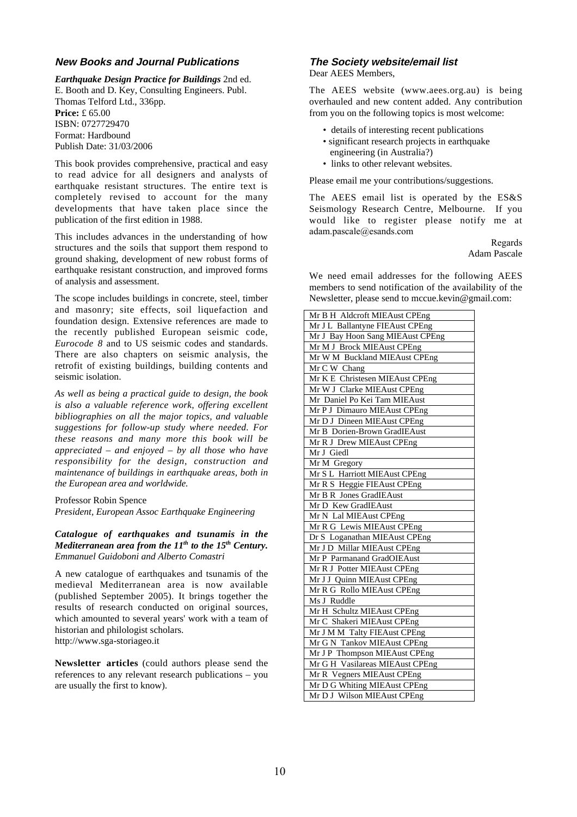# **New Books and Journal Publications**

*Earthquake Design Practice for Buildings* 2nd ed. E. Booth and D. Key, Consulting Engineers. Publ. Thomas Telford Ltd., 336pp. **Price:** £ 65.00 ISBN: 0727729470 Format: Hardbound Publish Date: 31/03/2006

This book provides comprehensive, practical and easy to read advice for all designers and analysts of earthquake resistant structures. The entire text is completely revised to account for the many developments that have taken place since the publication of the first edition in 1988.

This includes advances in the understanding of how structures and the soils that support them respond to ground shaking, development of new robust forms of earthquake resistant construction, and improved forms of analysis and assessment.

The scope includes buildings in concrete, steel, timber and masonry; site effects, soil liquefaction and foundation design. Extensive references are made to the recently published European seismic code, *Eurocode 8* and to US seismic codes and standards. There are also chapters on seismic analysis, the retrofit of existing buildings, building contents and seismic isolation.

*As well as being a practical guide to design, the book is also a valuable reference work, offering excellent bibliographies on all the major topics, and valuable suggestions for follow-up study where needed. For these reasons and many more this book will be appreciated – and enjoyed – by all those who have responsibility for the design, construction and maintenance of buildings in earthquake areas, both in the European area and worldwide.*

Professor Robin Spence

*President, European Assoc Earthquake Engineering*

#### *Catalogue of earthquakes and tsunamis in the Mediterranean area from the 11<sup>th</sup> to the 15<sup>th</sup> Century. Emmanuel Guidoboni and Alberto Comastri*

A new catalogue of earthquakes and tsunamis of the medieval Mediterranean area is now available (published September 2005). It brings together the results of research conducted on original sources, which amounted to several years' work with a team of historian and philologist scholars. http://www.sga-storiageo.it

**Newsletter articles** (could authors please send the references to any relevant research publications – you are usually the first to know).

# **The Society website/email list**

Dear AEES Members,

The AEES website (www.aees.org.au) is being overhauled and new content added. Any contribution from you on the following topics is most welcome:

- details of interesting recent publications
- significant research projects in earthquake engineering (in Australia?)
- links to other relevant websites.

Please email me your contributions/suggestions.

The AEES email list is operated by the ES&S Seismology Research Centre, Melbourne. If you would like to register please notify me at adam.pascale@esands.com

> Regards Adam Pascale

We need email addresses for the following AEES members to send notification of the availability of the Newsletter, please send to mccue.kevin@gmail.com:

| Mr B H Aldcroft MIEAust CPEng    |
|----------------------------------|
| Mr J L Ballantyne FIEAust CPEng  |
| Mr J Bay Hoon Sang MIEAust CPEng |
| Mr M J Brock MIEAust CPEng       |
| Mr W M Buckland MIEAust CPEng    |
| Mr C W Chang                     |
| Mr K E Christesen MIEAust CPEng  |
| Mr W J Clarke MIEAust CPEng      |
| Mr Daniel Po Kei Tam MIEAust     |
| Mr P J Dimauro MIEAust CPEng     |
| Mr D J Dineen MIEAust CPEng      |
| Mr B Dorien-Brown GradIEAust     |
| Mr R J Drew MIEAust CPEng        |
| Mr J Giedl                       |
| Mr M Gregory                     |
| Mr S L Harriott MIEAust CPEng    |
| Mr R S Heggie FIEAust CPEng      |
| Mr B R Jones GradIEAust          |
| Mr D Kew GradIEAust              |
| Mr N Lal MIEAust CPEng           |
| Mr R G Lewis MIEAust CPEng       |
| Dr S Loganathan MIEAust CPEng    |
| Mr J D Millar MIEAust CPEng      |
| Mr P Parmanand GradOIEAust       |
| Mr R J Potter MIEAust CPEng      |
| Mr J J Quinn MIEAust CPEng       |
| Mr R G Rollo MIEAust CPEng       |
| Ms J Ruddle                      |
| Mr H Schultz MIEAust CPEng       |
| Mr C Shakeri MIEAust CPEng       |
| Mr J M M Talty FIEAust CPEng     |
| Mr G N Tankov MIEAust CPEng      |
| Mr J P Thompson MIEAust CPEng    |
| Mr G H Vasilareas MIEAust CPEng  |
| Mr R Vegners MIEAust CPEng       |
| Mr D G Whiting MIEAust CPEng     |
| Mr D J Wilson MIEAust CPEng      |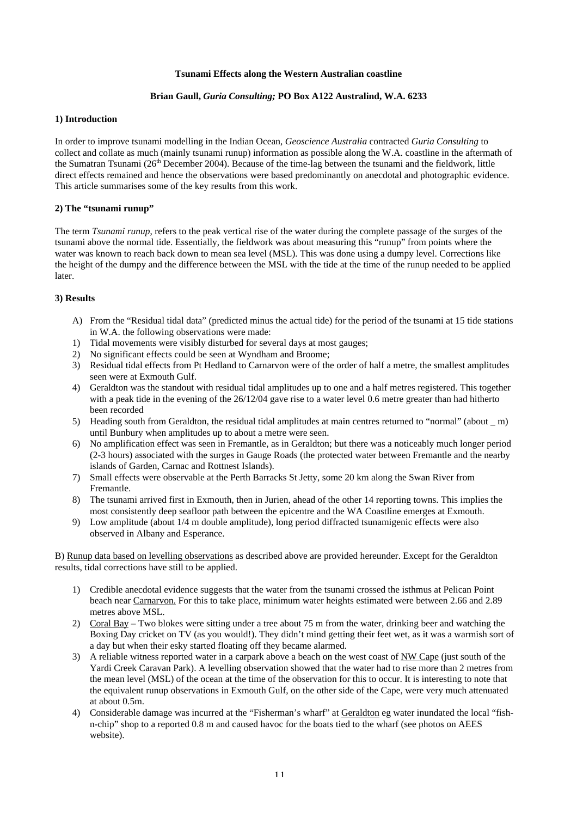#### **Tsunami Effects along the Western Australian coastline**

## **Brian Gaull,** *Guria Consulting;* **PO Box A122 Australind, W.A. 6233**

#### **1) Introduction**

In order to improve tsunami modelling in the Indian Ocean, *Geoscience Australia* contracted *Guria Consulting* to collect and collate as much (mainly tsunami runup) information as possible along the W.A. coastline in the aftermath of the Sumatran Tsunami (26<sup>th</sup> December 2004). Because of the time-lag between the tsunami and the fieldwork, little direct effects remained and hence the observations were based predominantly on anecdotal and photographic evidence. This article summarises some of the key results from this work.

#### **2) The "tsunami runup"**

The term *Tsunami runup*, refers to the peak vertical rise of the water during the complete passage of the surges of the tsunami above the normal tide. Essentially, the fieldwork was about measuring this "runup" from points where the water was known to reach back down to mean sea level (MSL). This was done using a dumpy level. Corrections like the height of the dumpy and the difference between the MSL with the tide at the time of the runup needed to be applied later.

#### **3) Results**

- A) From the "Residual tidal data" (predicted minus the actual tide) for the period of the tsunami at 15 tide stations in W.A. the following observations were made:
- 1) Tidal movements were visibly disturbed for several days at most gauges;
- 2) No significant effects could be seen at Wyndham and Broome;
- 3) Residual tidal effects from Pt Hedland to Carnarvon were of the order of half a metre, the smallest amplitudes seen were at Exmouth Gulf.
- 4) Geraldton was the standout with residual tidal amplitudes up to one and a half metres registered. This together with a peak tide in the evening of the 26/12/04 gave rise to a water level 0.6 metre greater than had hitherto been recorded
- 5) Heading south from Geraldton, the residual tidal amplitudes at main centres returned to "normal" (about \_ m) until Bunbury when amplitudes up to about a metre were seen.
- 6) No amplification effect was seen in Fremantle, as in Geraldton; but there was a noticeably much longer period (2-3 hours) associated with the surges in Gauge Roads (the protected water between Fremantle and the nearby islands of Garden, Carnac and Rottnest Islands).
- 7) Small effects were observable at the Perth Barracks St Jetty, some 20 km along the Swan River from Fremantle.
- 8) The tsunami arrived first in Exmouth, then in Jurien, ahead of the other 14 reporting towns. This implies the most consistently deep seafloor path between the epicentre and the WA Coastline emerges at Exmouth.
- 9) Low amplitude (about 1/4 m double amplitude), long period diffracted tsunamigenic effects were also observed in Albany and Esperance.

B) Runup data based on levelling observations as described above are provided hereunder. Except for the Geraldton results, tidal corrections have still to be applied.

- 1) Credible anecdotal evidence suggests that the water from the tsunami crossed the isthmus at Pelican Point beach near Carnarvon. For this to take place, minimum water heights estimated were between 2.66 and 2.89 metres above MSL.
- 2) Coral Bay Two blokes were sitting under a tree about 75 m from the water, drinking beer and watching the Boxing Day cricket on TV (as you would!). They didn't mind getting their feet wet, as it was a warmish sort of a day but when their esky started floating off they became alarmed.
- 3) A reliable witness reported water in a carpark above a beach on the west coast of NW Cape (just south of the Yardi Creek Caravan Park). A levelling observation showed that the water had to rise more than 2 metres from the mean level (MSL) of the ocean at the time of the observation for this to occur. It is interesting to note that the equivalent runup observations in Exmouth Gulf, on the other side of the Cape, were very much attenuated at about 0.5m.
- 4) Considerable damage was incurred at the "Fisherman's wharf" at Geraldton eg water inundated the local "fishn-chip" shop to a reported 0.8 m and caused havoc for the boats tied to the wharf (see photos on AEES website).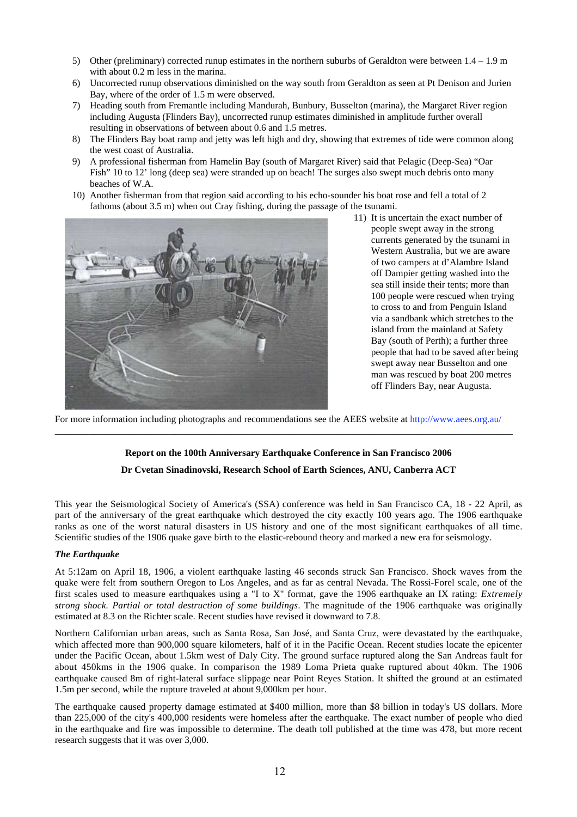- 5) Other (preliminary) corrected runup estimates in the northern suburbs of Geraldton were between  $1.4 1.9$  m with about 0.2 m less in the marina.
- 6) Uncorrected runup observations diminished on the way south from Geraldton as seen at Pt Denison and Jurien Bay, where of the order of 1.5 m were observed.
- 7) Heading south from Fremantle including Mandurah, Bunbury, Busselton (marina), the Margaret River region including Augusta (Flinders Bay), uncorrected runup estimates diminished in amplitude further overall resulting in observations of between about 0.6 and 1.5 metres.
- 8) The Flinders Bay boat ramp and jetty was left high and dry, showing that extremes of tide were common along the west coast of Australia.
- 9) A professional fisherman from Hamelin Bay (south of Margaret River) said that Pelagic (Deep-Sea) "Oar Fish" 10 to 12' long (deep sea) were stranded up on beach! The surges also swept much debris onto many beaches of W.A.
- 10) Another fisherman from that region said according to his echo-sounder his boat rose and fell a total of 2 fathoms (about 3.5 m) when out Cray fishing, during the passage of the tsunami.



11) It is uncertain the exact number of people swept away in the strong currents generated by the tsunami in Western Australia, but we are aware of two campers at d'Alambre Island off Dampier getting washed into the sea still inside their tents; more than 100 people were rescued when trying to cross to and from Penguin Island via a sandbank which stretches to the island from the mainland at Safety Bay (south of Perth); a further three people that had to be saved after being swept away near Busselton and one man was rescued by boat 200 metres off Flinders Bay, near Augusta.

For more information including photographs and recommendations see the AEES website at http://www.aees.org.au/ **\_\_\_\_\_\_\_\_\_\_\_\_\_\_\_\_\_\_\_\_\_\_\_\_\_\_\_\_\_\_\_\_\_\_\_\_\_\_\_\_\_\_\_\_\_\_\_\_\_\_\_\_\_\_\_\_\_\_\_\_\_\_\_\_\_\_\_\_\_\_\_\_\_\_\_\_\_\_\_\_\_\_\_\_\_\_\_\_\_\_\_\_\_\_\_\_**

# **Report on the 100th Anniversary Earthquake Conference in San Francisco 2006**

# **Dr Cvetan Sinadinovski, Research School of Earth Sciences, ANU, Canberra ACT**

This year the Seismological Society of America's (SSA) conference was held in San Francisco CA, 18 - 22 April, as part of the anniversary of the great earthquake which destroyed the city exactly 100 years ago. The 1906 earthquake ranks as one of the worst natural disasters in US history and one of the most significant earthquakes of all time. Scientific studies of the 1906 quake gave birth to the elastic-rebound theory and marked a new era for seismology.

# *The Earthquake*

At 5:12am on April 18, 1906, a violent earthquake lasting 46 seconds struck San Francisco. Shock waves from the quake were felt from southern Oregon to Los Angeles, and as far as central Nevada. The Rossi-Forel scale, one of the first scales used to measure earthquakes using a "I to X" format, gave the 1906 earthquake an IX rating: *Extremely strong shock. Partial or total destruction of some buildings*. The magnitude of the 1906 earthquake was originally estimated at 8.3 on the Richter scale. Recent studies have revised it downward to 7.8.

Northern Californian urban areas, such as Santa Rosa, San José, and Santa Cruz, were devastated by the earthquake, which affected more than 900,000 square kilometers, half of it in the Pacific Ocean. Recent studies locate the epicenter under the Pacific Ocean, about 1.5km west of Daly City. The ground surface ruptured along the San Andreas fault for about 450kms in the 1906 quake. In comparison the 1989 Loma Prieta quake ruptured about 40km. The 1906 earthquake caused 8m of right-lateral surface slippage near Point Reyes Station. It shifted the ground at an estimated 1.5m per second, while the rupture traveled at about 9,000km per hour.

The earthquake caused property damage estimated at \$400 million, more than \$8 billion in today's US dollars. More than 225,000 of the city's 400,000 residents were homeless after the earthquake. The exact number of people who died in the earthquake and fire was impossible to determine. The death toll published at the time was 478, but more recent research suggests that it was over 3,000.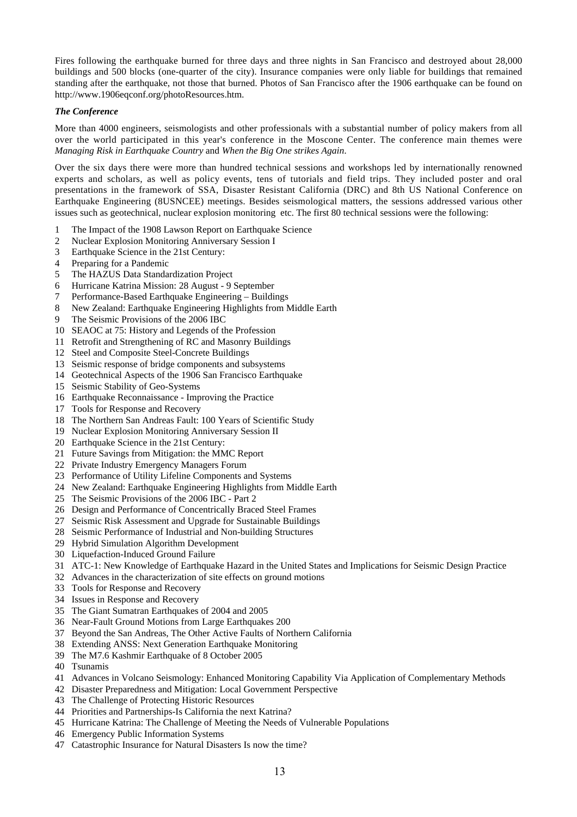Fires following the earthquake burned for three days and three nights in San Francisco and destroyed about 28,000 buildings and 500 blocks (one-quarter of the city). Insurance companies were only liable for buildings that remained standing after the earthquake, not those that burned. Photos of San Francisco after the 1906 earthquake can be found on http://www.1906eqconf.org/photoResources.htm.

## *The Conference*

More than 4000 engineers, seismologists and other professionals with a substantial number of policy makers from all over the world participated in this year's conference in the Moscone Center. The conference main themes were *Managing Risk in Earthquake Country* and *When the Big One strikes Again*.

Over the six days there were more than hundred technical sessions and workshops led by internationally renowned experts and scholars, as well as policy events, tens of tutorials and field trips. They included poster and oral presentations in the framework of SSA, Disaster Resistant California (DRC) and 8th US National Conference on Earthquake Engineering (8USNCEE) meetings. Besides seismological matters, the sessions addressed various other issues such as geotechnical, nuclear explosion monitoring etc. The first 80 technical sessions were the following:

- 1 The Impact of the 1908 Lawson Report on Earthquake Science<br>2 Nuclear Explosion Monitoring Anniversary Session I
- Nuclear Explosion Monitoring Anniversary Session I
- 3 Earthquake Science in the 21st Century:
- 4 Preparing for a Pandemic
- 5 The HAZUS Data Standardization Project
- 6 Hurricane Katrina Mission: 28 August 9 September
- 7 Performance-Based Earthquake Engineering Buildings
- 8 New Zealand: Earthquake Engineering Highlights from Middle Earth
- 9 The Seismic Provisions of the 2006 IBC
- 10 SEAOC at 75: History and Legends of the Profession
- 11 Retrofit and Strengthening of RC and Masonry Buildings
- 12 Steel and Composite Steel-Concrete Buildings
- 13 Seismic response of bridge components and subsystems
- 14 Geotechnical Aspects of the 1906 San Francisco Earthquake
- 15 Seismic Stability of Geo-Systems
- 16 Earthquake Reconnaissance Improving the Practice
- 17 Tools for Response and Recovery
- 18 The Northern San Andreas Fault: 100 Years of Scientific Study
- 19 Nuclear Explosion Monitoring Anniversary Session II
- 20 Earthquake Science in the 21st Century:
- 21 Future Savings from Mitigation: the MMC Report
- 22 Private Industry Emergency Managers Forum
- 23 Performance of Utility Lifeline Components and Systems
- 24 New Zealand: Earthquake Engineering Highlights from Middle Earth
- 25 The Seismic Provisions of the 2006 IBC Part 2
- 26 Design and Performance of Concentrically Braced Steel Frames
- 27 Seismic Risk Assessment and Upgrade for Sustainable Buildings
- 28 Seismic Performance of Industrial and Non-building Structures
- 29 Hybrid Simulation Algorithm Development
- 30 Liquefaction-Induced Ground Failure
- 31 ATC-1: New Knowledge of Earthquake Hazard in the United States and Implications for Seismic Design Practice
- 32 Advances in the characterization of site effects on ground motions
- 33 Tools for Response and Recovery
- 34 Issues in Response and Recovery
- 35 The Giant Sumatran Earthquakes of 2004 and 2005
- 36 Near-Fault Ground Motions from Large Earthquakes 200
- 37 Beyond the San Andreas, The Other Active Faults of Northern California
- 38 Extending ANSS: Next Generation Earthquake Monitoring
- 39 The M7.6 Kashmir Earthquake of 8 October 2005
- 40 Tsunamis
- 41 Advances in Volcano Seismology: Enhanced Monitoring Capability Via Application of Complementary Methods
- 42 Disaster Preparedness and Mitigation: Local Government Perspective
- 43 The Challenge of Protecting Historic Resources
- 44 Priorities and Partnerships-Is California the next Katrina?
- 45 Hurricane Katrina: The Challenge of Meeting the Needs of Vulnerable Populations
- 46 Emergency Public Information Systems
- 47 Catastrophic Insurance for Natural Disasters Is now the time?